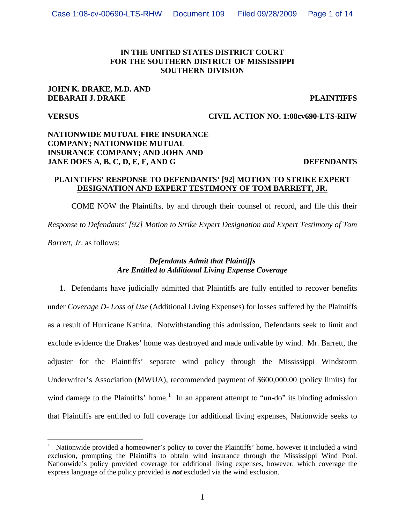## **IN THE UNITED STATES DISTRICT COURT FOR THE SOUTHERN DISTRICT OF MISSISSIPPI SOUTHERN DIVISION**

## **JOHN K. DRAKE, M.D. AND DEBARAH J. DRAKE PLAINTIFFS**

# **VERSUS CIVIL ACTION NO. 1:08cv690-LTS-RHW**

# **NATIONWIDE MUTUAL FIRE INSURANCE COMPANY; NATIONWIDE MUTUAL INSURANCE COMPANY; AND JOHN AND JANE DOES A, B, C, D, E, F, AND G DEFENDANTS**

## **PLAINTIFFS' RESPONSE TO DEFENDANTS' [92] MOTION TO STRIKE EXPERT DESIGNATION AND EXPERT TESTIMONY OF TOM BARRETT, JR.**

 COME NOW the Plaintiffs, by and through their counsel of record, and file this their *Response to Defendants' [92] Motion to Strike Expert Designation and Expert Testimony of Tom Barrett, Jr.* as follows:

# *Defendants Admit that Plaintiffs Are Entitled to Additional Living Expense Coverage*

1. Defendants have judicially admitted that Plaintiffs are fully entitled to recover benefits under *Coverage D- Loss of Use* (Additional Living Expenses) for losses suffered by the Plaintiffs as a result of Hurricane Katrina. Notwithstanding this admission, Defendants seek to limit and exclude evidence the Drakes' home was destroyed and made unlivable by wind. Mr. Barrett, the adjuster for the Plaintiffs' separate wind policy through the Mississippi Windstorm Underwriter's Association (MWUA), recommended payment of \$600,000.00 (policy limits) for wind damage to the Plaintiffs' home.<sup>[1](#page-0-0)</sup> In an apparent attempt to "un-do" its binding admission that Plaintiffs are entitled to full coverage for additional living expenses, Nationwide seeks to

<span id="page-0-0"></span>i<br>Li 1 Nationwide provided a homeowner's policy to cover the Plaintiffs' home, however it included a wind exclusion, prompting the Plaintiffs to obtain wind insurance through the Mississippi Wind Pool. Nationwide's policy provided coverage for additional living expenses, however, which coverage the express language of the policy provided is *not* excluded via the wind exclusion.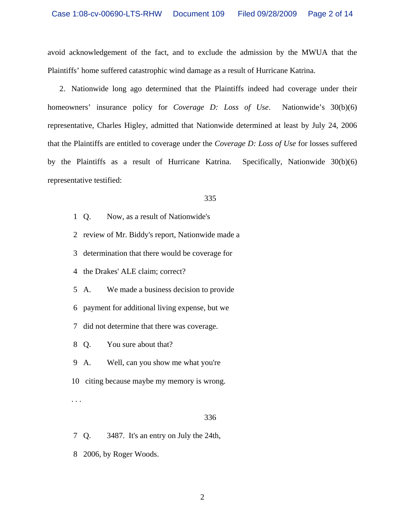avoid acknowledgement of the fact, and to exclude the admission by the MWUA that the Plaintiffs' home suffered catastrophic wind damage as a result of Hurricane Katrina.

2. Nationwide long ago determined that the Plaintiffs indeed had coverage under their homeowners' insurance policy for *Coverage D: Loss of Use*. Nationwide's 30(b)(6) representative, Charles Higley, admitted that Nationwide determined at least by July 24, 2006 that the Plaintiffs are entitled to coverage under the *Coverage D: Loss of Use* for losses suffered by the Plaintiffs as a result of Hurricane Katrina. Specifically, Nationwide 30(b)(6) representative testified:

## 335

- 1 Q. Now, as a result of Nationwide's
- 2 review of Mr. Biddy's report, Nationwide made a
- 3 determination that there would be coverage for
- 4 the Drakes' ALE claim; correct?
- 5 A. We made a business decision to provide
- 6 payment for additional living expense, but we
- 7 did not determine that there was coverage.
- 8 Q. You sure about that?
- 9 A. Well, can you show me what you're
- 10 citing because maybe my memory is wrong.

. . .

- 7 Q. 3487. It's an entry on July the 24th,
- 8 2006, by Roger Woods.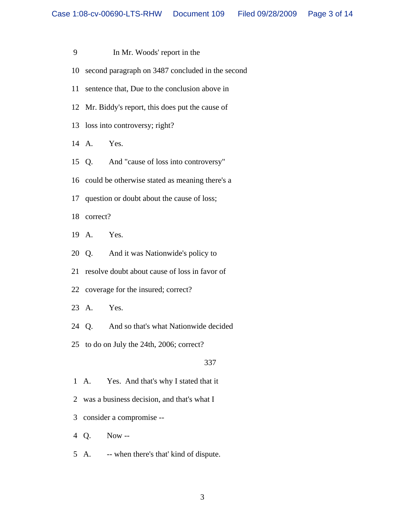- 9 In Mr. Woods' report in the
- 10 second paragraph on 3487 concluded in the second
- 11 sentence that, Due to the conclusion above in
- 12 Mr. Biddy's report, this does put the cause of
- 13 loss into controversy; right?
- 14 A. Yes.
- 15 Q. And "cause of loss into controversy"
- 16 could be otherwise stated as meaning there's a
- 17 question or doubt about the cause of loss;
- 18 correct?
- 19 A. Yes.
- 20 Q. And it was Nationwide's policy to
- 21 resolve doubt about cause of loss in favor of
- 22 coverage for the insured; correct?
- 23 A. Yes.
- 24 Q. And so that's what Nationwide decided
- 25 to do on July the 24th, 2006; correct?

- 1 A. Yes. And that's why I stated that it
- 2 was a business decision, and that's what I
- 3 consider a compromise --
- 4 Q. Now --
- 5 A. -- when there's that' kind of dispute.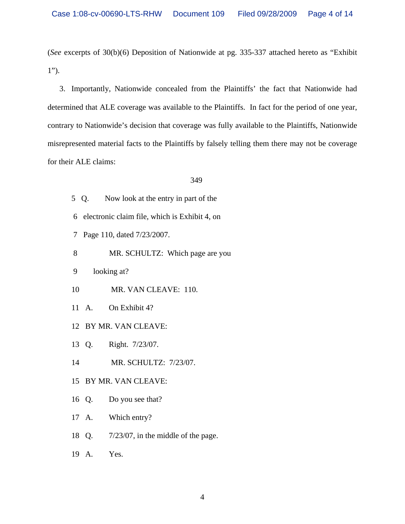(*See* excerpts of 30(b)(6) Deposition of Nationwide at pg. 335-337 attached hereto as "Exhibit 1").

3. Importantly, Nationwide concealed from the Plaintiffs' the fact that Nationwide had determined that ALE coverage was available to the Plaintiffs. In fact for the period of one year, contrary to Nationwide's decision that coverage was fully available to the Plaintiffs, Nationwide misrepresented material facts to the Plaintiffs by falsely telling them there may not be coverage for their ALE claims:

- 5 Q. Now look at the entry in part of the
- 6 electronic claim file, which is Exhibit 4, on
- 7 Page 110, dated 7/23/2007.
- 8 MR. SCHULTZ: Which page are you
- 9 looking at?
- 10 MR. VAN CLEAVE: 110.
- 11 A. On Exhibit 4?
- 12 BY MR. VAN CLEAVE:
- 13 Q. Right. 7/23/07.
- 14 MR. SCHULTZ: 7/23/07.
- 15 BY MR. VAN CLEAVE:
- 16 Q. Do you see that?
- 17 A. Which entry?
- 18 Q. 7/23/07, in the middle of the page.
- 19 A. Yes.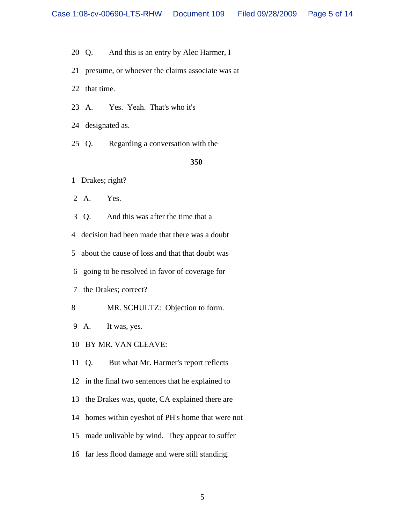- 20 Q. And this is an entry by Alec Harmer, I
- 21 presume, or whoever the claims associate was at
- 22 that time.
- 23 A. Yes. Yeah. That's who it's
- 24 designated as.
- 25 Q. Regarding a conversation with the

- 1 Drakes; right?
- 2 A. Yes.
- 3 Q. And this was after the time that a
- 4 decision had been made that there was a doubt
- 5 about the cause of loss and that that doubt was
- 6 going to be resolved in favor of coverage for
- 7 the Drakes; correct?
- 8 MR. SCHULTZ: Objection to form.
- 9 A. It was, yes.
- 10 BY MR. VAN CLEAVE:
- 11 Q. But what Mr. Harmer's report reflects
- 12 in the final two sentences that he explained to
- 13 the Drakes was, quote, CA explained there are
- 14 homes within eyeshot of PH's home that were not
- 15 made unlivable by wind. They appear to suffer
- 16 far less flood damage and were still standing.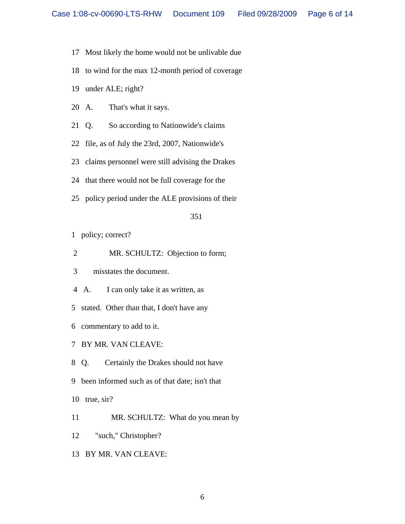- 17 Most likely the home would not be unlivable due
- 18 to wind for the max 12-month period of coverage
- 19 under ALE; right?
- 20 A. That's what it says.
- 21 Q. So according to Nationwide's claims
- 22 file, as of July the 23rd, 2007, Nationwide's
- 23 claims personnel were still advising the Drakes
- 24 that there would not be full coverage for the
- 25 policy period under the ALE provisions of their

- 1 policy; correct?
- 2 MR. SCHULTZ: Objection to form;
- 3 misstates the document.
- 4 A. I can only take it as written, as
- 5 stated. Other than that, I don't have any
- 6 commentary to add to it.
- 7 BY MR. VAN CLEAVE:
- 8 Q. Certainly the Drakes should not have
- 9 been informed such as of that date; isn't that
- 10 true, sir?
- 11 MR. SCHULTZ: What do you mean by
- 12 "such," Christopher?
- 13 BY MR. VAN CLEAVE: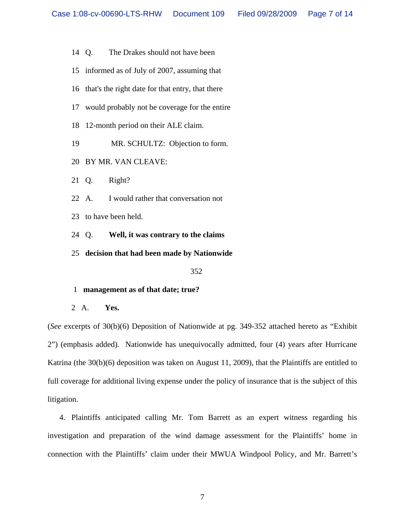- 14 Q. The Drakes should not have been
- 15 informed as of July of 2007, assuming that
- 16 that's the right date for that entry, that there
- 17 would probably not be coverage for the entire
- 18 12-month period on their ALE claim.
- 19 MR. SCHULTZ: Objection to form.
- 20 BY MR. VAN CLEAVE:
- 21 Q. Right?
- 22 A. I would rather that conversation not
- 23 to have been held.
- 24 Q. **Well, it was contrary to the claims**
- 25 **decision that had been made by Nationwide**

- 1 **management as of that date; true?**
- 2 A. **Yes.**

(*See* excerpts of 30(b)(6) Deposition of Nationwide at pg. 349-352 attached hereto as "Exhibit 2") (emphasis added). Nationwide has unequivocally admitted, four (4) years after Hurricane Katrina (the 30(b)(6) deposition was taken on August 11, 2009), that the Plaintiffs are entitled to full coverage for additional living expense under the policy of insurance that is the subject of this litigation.

4. Plaintiffs anticipated calling Mr. Tom Barrett as an expert witness regarding his investigation and preparation of the wind damage assessment for the Plaintiffs' home in connection with the Plaintiffs' claim under their MWUA Windpool Policy, and Mr. Barrett's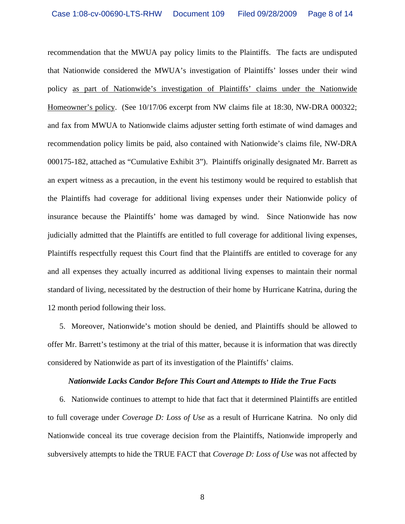recommendation that the MWUA pay policy limits to the Plaintiffs. The facts are undisputed that Nationwide considered the MWUA's investigation of Plaintiffs' losses under their wind policy as part of Nationwide's investigation of Plaintiffs' claims under the Nationwide Homeowner's policy. (See 10/17/06 excerpt from NW claims file at 18:30, NW-DRA 000322; and fax from MWUA to Nationwide claims adjuster setting forth estimate of wind damages and recommendation policy limits be paid, also contained with Nationwide's claims file, NW-DRA 000175-182, attached as "Cumulative Exhibit 3"). Plaintiffs originally designated Mr. Barrett as an expert witness as a precaution, in the event his testimony would be required to establish that the Plaintiffs had coverage for additional living expenses under their Nationwide policy of insurance because the Plaintiffs' home was damaged by wind. Since Nationwide has now judicially admitted that the Plaintiffs are entitled to full coverage for additional living expenses, Plaintiffs respectfully request this Court find that the Plaintiffs are entitled to coverage for any and all expenses they actually incurred as additional living expenses to maintain their normal standard of living, necessitated by the destruction of their home by Hurricane Katrina, during the 12 month period following their loss.

5. Moreover, Nationwide's motion should be denied, and Plaintiffs should be allowed to offer Mr. Barrett's testimony at the trial of this matter, because it is information that was directly considered by Nationwide as part of its investigation of the Plaintiffs' claims.

### *Nationwide Lacks Candor Before This Court and Attempts to Hide the True Facts*

6. Nationwide continues to attempt to hide that fact that it determined Plaintiffs are entitled to full coverage under *Coverage D: Loss of Use* as a result of Hurricane Katrina. No only did Nationwide conceal its true coverage decision from the Plaintiffs, Nationwide improperly and subversively attempts to hide the TRUE FACT that *Coverage D: Loss of Use* was not affected by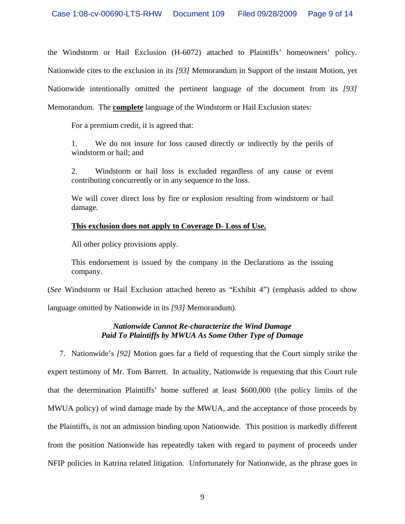the Windstorm or Hail Exclusion (H-6072) attached to Plaintiffs' homeowners' policy. Nationwide cites to the exclusion in its *[93]* Memorandum in Support of the instant Motion, yet Nationwide intentionally omitted the pertinent language of the document from its *[93]* Memorandum. The **complete** language of the Windstorm or Hail Exclusion states:

For a premium credit, it is agreed that:

1. We do not insure for loss caused directly or indirectly by the perils of windstorm or hail; and

2. Windstorm or hail loss is excluded regardless of any cause or event contributing concurrently or in any sequence to the loss.

We will cover direct loss by fire or explosion resulting from windstorm or hail damage.

# **This exclusion does not apply to Coverage D- Loss of Use.**

All other policy provisions apply.

This endorsement is issued by the company in the Declarations as the issuing company.

(*See* Windstorm or Hail Exclusion attached hereto as "Exhibit 4") (emphasis added to show language omitted by Nationwide in its *[93]* Memorandum).

# *Nationwide Cannot Re-characterize the Wind Damage Paid To Plaintiffs by MWUA As Some Other Type of Damage*

7. Nationwide's *[92]* Motion goes far a field of requesting that the Court simply strike the expert testimony of Mr. Tom Barrett. In actuality, Nationwide is requesting that this Court rule that the determination Plaintiffs' home suffered at least \$600,000 (the policy limits of the MWUA policy) of wind damage made by the MWUA, and the acceptance of those proceeds by the Plaintiffs, is not an admission binding upon Nationwide. This position is markedly different from the position Nationwide has repeatedly taken with regard to payment of proceeds under NFIP policies in Katrina related litigation. Unfortunately for Nationwide, as the phrase goes in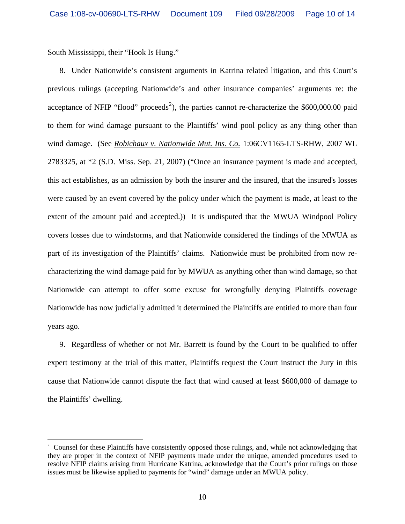South Mississippi, their "Hook Is Hung."

8. Under Nationwide's consistent arguments in Katrina related litigation, and this Court's previous rulings (accepting Nationwide's and other insurance companies' arguments re: the acceptance of NFIP "flood" proceeds<sup>[2](#page-9-0)</sup>), the parties cannot re-characterize the \$600,000.00 paid to them for wind damage pursuant to the Plaintiffs' wind pool policy as any thing other than wind damage. (See *Robichaux v. Nationwide Mut. Ins. Co.* 1:06CV1165-LTS-RHW, 2007 WL 2783325, at \*2 (S.D. Miss. Sep. 21, 2007) ("Once an insurance payment is made and accepted, this act establishes, as an admission by both the insurer and the insured, that the insured's losses were caused by an event covered by the policy under which the payment is made, at least to the extent of the amount paid and accepted.)) It is undisputed that the MWUA Windpool Policy covers losses due to windstorms, and that Nationwide considered the findings of the MWUA as part of its investigation of the Plaintiffs' claims. Nationwide must be prohibited from now recharacterizing the wind damage paid for by MWUA as anything other than wind damage, so that Nationwide can attempt to offer some excuse for wrongfully denying Plaintiffs coverage Nationwide has now judicially admitted it determined the Plaintiffs are entitled to more than four years ago.

9. Regardless of whether or not Mr. Barrett is found by the Court to be qualified to offer expert testimony at the trial of this matter, Plaintiffs request the Court instruct the Jury in this cause that Nationwide cannot dispute the fact that wind caused at least \$600,000 of damage to the Plaintiffs' dwelling.

<span id="page-9-0"></span>i<br>Li 2 Counsel for these Plaintiffs have consistently opposed those rulings, and, while not acknowledging that they are proper in the context of NFIP payments made under the unique, amended procedures used to resolve NFIP claims arising from Hurricane Katrina, acknowledge that the Court's prior rulings on those issues must be likewise applied to payments for "wind" damage under an MWUA policy.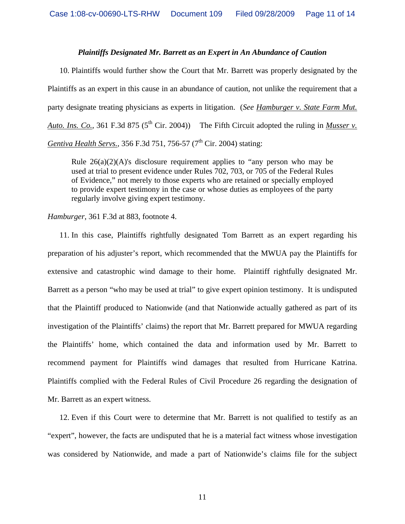## *Plaintiffs Designated Mr. Barrett as an Expert in An Abundance of Caution*

10. Plaintiffs would further show the Court that Mr. Barrett was properly designated by the Plaintiffs as an expert in this cause in an abundance of caution, not unlike the requirement that a party designate treating physicians as experts in litigation. (*See Hamburger v. State Farm Mut. Auto. Ins. Co.*, 361 F.3d 875 (5<sup>th</sup> Cir. 2004)) The Fifth Circuit adopted the ruling in *Musser v. Gentiva Health Servs.,* 356 F.3d 751, 756-57 (7<sup>th</sup> Cir. 2004) stating:

Rule  $26(a)(2)(A)$ 's disclosure requirement applies to "any person who may be used at trial to present evidence under Rules 702, 703, or 705 of the Federal Rules of Evidence," not merely to those experts who are retained or specially employed to provide expert testimony in the case or whose duties as employees of the party regularly involve giving expert testimony.

*Hamburger*, 361 F.3d at 883, footnote 4.

11. In this case, Plaintiffs rightfully designated Tom Barrett as an expert regarding his preparation of his adjuster's report, which recommended that the MWUA pay the Plaintiffs for extensive and catastrophic wind damage to their home. Plaintiff rightfully designated Mr. Barrett as a person "who may be used at trial" to give expert opinion testimony. It is undisputed that the Plaintiff produced to Nationwide (and that Nationwide actually gathered as part of its investigation of the Plaintiffs' claims) the report that Mr. Barrett prepared for MWUA regarding the Plaintiffs' home, which contained the data and information used by Mr. Barrett to recommend payment for Plaintiffs wind damages that resulted from Hurricane Katrina. Plaintiffs complied with the Federal Rules of Civil Procedure 26 regarding the designation of Mr. Barrett as an expert witness.

12. Even if this Court were to determine that Mr. Barrett is not qualified to testify as an "expert", however, the facts are undisputed that he is a material fact witness whose investigation was considered by Nationwide, and made a part of Nationwide's claims file for the subject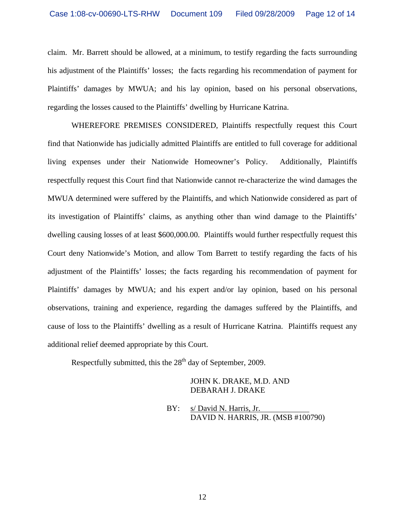claim. Mr. Barrett should be allowed, at a minimum, to testify regarding the facts surrounding his adjustment of the Plaintiffs' losses; the facts regarding his recommendation of payment for Plaintiffs' damages by MWUA; and his lay opinion, based on his personal observations, regarding the losses caused to the Plaintiffs' dwelling by Hurricane Katrina.

WHEREFORE PREMISES CONSIDERED, Plaintiffs respectfully request this Court find that Nationwide has judicially admitted Plaintiffs are entitled to full coverage for additional living expenses under their Nationwide Homeowner's Policy. Additionally, Plaintiffs respectfully request this Court find that Nationwide cannot re-characterize the wind damages the MWUA determined were suffered by the Plaintiffs, and which Nationwide considered as part of its investigation of Plaintiffs' claims, as anything other than wind damage to the Plaintiffs' dwelling causing losses of at least \$600,000.00. Plaintiffs would further respectfully request this Court deny Nationwide's Motion, and allow Tom Barrett to testify regarding the facts of his adjustment of the Plaintiffs' losses; the facts regarding his recommendation of payment for Plaintiffs' damages by MWUA; and his expert and/or lay opinion, based on his personal observations, training and experience, regarding the damages suffered by the Plaintiffs, and cause of loss to the Plaintiffs' dwelling as a result of Hurricane Katrina. Plaintiffs request any additional relief deemed appropriate by this Court.

Respectfully submitted, this the  $28<sup>th</sup>$  day of September, 2009.

JOHN K. DRAKE, M.D. AND DEBARAH J. DRAKE

BY: s/ David N. Harris, Jr. DAVID N. HARRIS, JR. (MSB #100790)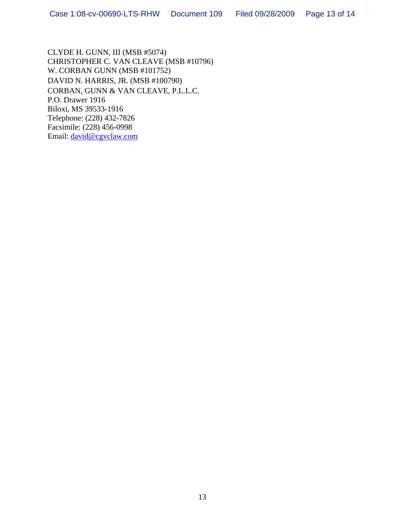CLYDE H. GUNN, III (MSB #5074) CHRISTOPHER C. VAN CLEAVE (MSB #10796) W. CORBAN GUNN (MSB #101752) DAVID N. HARRIS, JR. (MSB #100790) CORBAN, GUNN & VAN CLEAVE, P.L.L.C. P.O. Drawer 1916 Biloxi, MS 39533-1916 Telephone: (228) 432-7826 Facsimile: (228) 456-0998 Email: [david@cgvclaw.com](mailto:david@cgvclaw.com)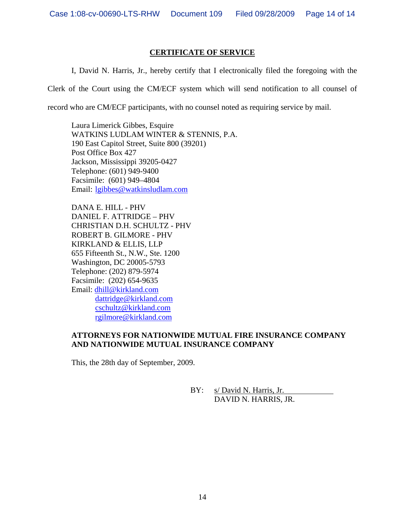## **CERTIFICATE OF SERVICE**

I, David N. Harris, Jr., hereby certify that I electronically filed the foregoing with the

Clerk of the Court using the CM/ECF system which will send notification to all counsel of

record who are CM/ECF participants, with no counsel noted as requiring service by mail.

Laura Limerick Gibbes, Esquire WATKINS LUDLAM WINTER & STENNIS, P.A. 190 East Capitol Street, Suite 800 (39201) Post Office Box 427 Jackson, Mississippi 39205-0427 Telephone: (601) 949-9400 Facsimile: (601) 949–4804 Email: [lgibbes@watkinsludlam.com](mailto:lgibbes@watkinsludlam.com) 

DANA E. HILL - PHV DANIEL F. ATTRIDGE – PHV CHRISTIAN D.H. SCHULTZ - PHV ROBERT B. GILMORE - PHV KIRKLAND & ELLIS, LLP 655 Fifteenth St., N.W., Ste. 1200 Washington, DC 20005-5793 Telephone: (202) 879-5974 Facsimile: (202) 654-9635 Email: [dhill@kirkland.com](mailto:dhill@kirkland.com) [dattridge@kirkland.com](mailto:dattridge@kirkland.com) [cschultz@kirkland.com](mailto:cschultz@kirkland.com) [rgilmore@kirkland.com](mailto:rgilmore@kirkland.com) 

# **ATTORNEYS FOR NATIONWIDE MUTUAL FIRE INSURANCE COMPANY AND NATIONWIDE MUTUAL INSURANCE COMPANY**

This, the 28th day of September, 2009.

 BY: s/ David N. Harris, Jr. DAVID N. HARRIS, JR.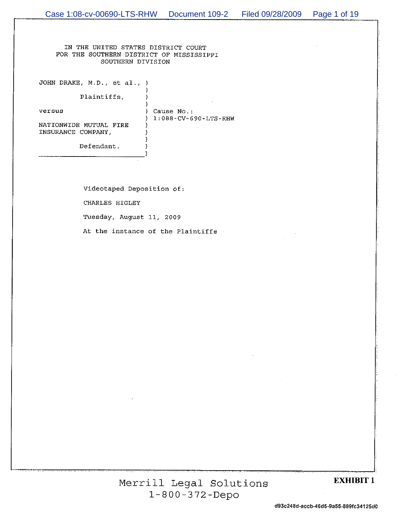IN THE UNITED STATES DISTRICT COURT FOR THE SOUTHERN DISTRICT OF MISSISSIPPI SOUTHERN DIVISION

> J. A,

-1

JOHN DRAKE, M.D., et al., )

Plaintiffs,

versus

) Cause No.:  $1:088-CV-690-LTS-RHW$ 

NATIONWIDE MUTUAL FIRE INSURANCE COMPANY,

Defendant.

Videotaped Deposition of: CHARLES HIGLEY Tuesday, August 11, 2009

At the instance of the Plaintiffs

Merrill Legal Solutions  $1 - 800 - 372 - Depo$ 

#### **EXHIBIT 1**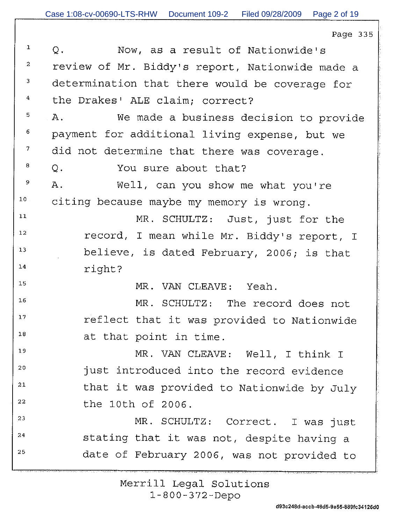| $\mathbf{1}$   | Q.<br>Now, as a result of Nationwide's          |
|----------------|-------------------------------------------------|
| $\overline{a}$ | review of Mr. Biddy's report, Nationwide made a |
| $\mathbf{3}$   | determination that there would be coverage for  |
| $\bf{4}$       | the Drakes' ALE claim; correct?                 |
| 5              | We made a business decision to provide<br>Α.    |
| 6              | payment for additional living expense, but we   |
| $7\phantom{.}$ | did not determine that there was coverage.      |
| 8              | Q.<br>You sure about that?                      |
| 9              | Α.<br>Well, can you show me what you're         |
| $10$ .         | citing because maybe my memory is wrong.        |
| 11             | MR. SCHULTZ: Just, just for the                 |
| 12             | record, I mean while Mr. Biddy's report, I      |
| 13             | believe, is dated February, 2006; is that       |
| 14             | right?                                          |
| 15             | MR. VAN CLEAVE: Yeah.                           |
| 16             | MR. SCHULTZ: The record does not                |
| $17\,$         | reflect that it was provided to Nationwide      |
| $18\,$         | at that point in time.                          |
| 19             | MR. VAN CLEAVE: Well, I think I                 |
| 20             | just introduced into the record evidence        |
| $2\sqrt{1}$    | that it was provided to Nationwide by July      |
| 22             | the 10th of 2006.                               |
| 23             | MR. SCHULTZ: Correct. I was just                |
| 24             | stating that it was not, despite having a       |
| 25             | date of February 2006, was not provided to      |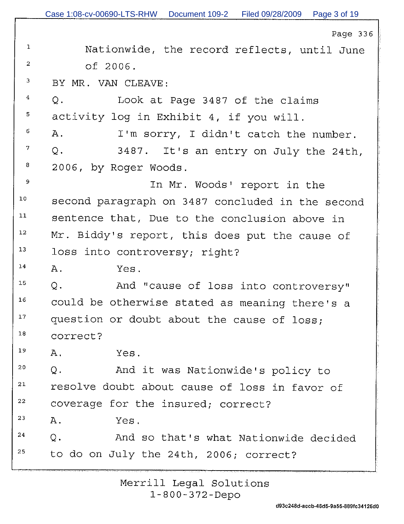| $\mathbf{1}$            | Nationwide, the record reflects, until June       |
|-------------------------|---------------------------------------------------|
| $\overline{a}$          | of 2006.                                          |
| $\overline{\mathbf{3}}$ | BY MR. VAN CLEAVE:                                |
| 4                       | Q <sub>1</sub><br>Look at Page 3487 of the claims |
| 5                       | activity log in Exhibit 4, if you will.           |
| 6                       | Α.<br>I'm sorry, I didn't catch the number.       |
| 7                       | Q.<br>3487. It's an entry on July the 24th,       |
| 8                       | 2006, by Roger Woods.                             |
| 9                       | In Mr. Woods' report in the                       |
| 10                      | second paragraph on 3487 concluded in the second  |
| 11                      | sentence that, Due to the conclusion above in     |
| $12 \,$                 | Mr. Biddy's report, this does put the cause of    |
| 13                      | loss into controversy; right?                     |
| 14                      | Α.<br>Yes.                                        |
| $15\,$                  | Q.<br>And "cause of loss into controversy"        |
| 16                      | could be otherwise stated as meaning there's a    |
| $17\,$                  | question or doubt about the cause of loss;        |
| 18                      | correct?                                          |
| 19                      | Α.<br>Yes.                                        |
| 20                      | And it was Nationwide's policy to<br>Q.           |
| 21                      | resolve doubt about cause of loss in favor of     |
| 22                      | coverage for the insured; correct?                |
| 23                      | Α.<br>Yes.                                        |
| 24                      | Q.<br>And so that's what Nationwide decided       |
| 25                      | to do on July the 24th, 2006; correct?            |
|                         |                                                   |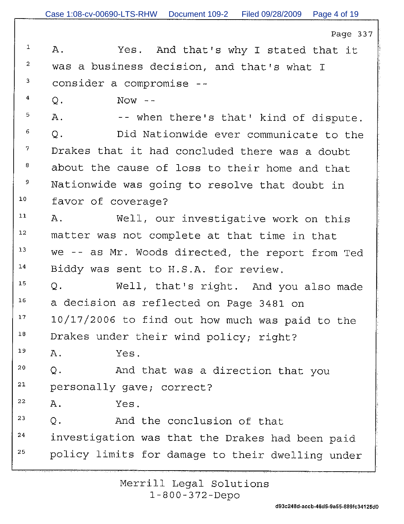$\mathbf{1}$ Α. Yes. And that's why I stated that it  $\overline{a}$ was a business decision, and that's what I 3 consider a compromise --

 $\overline{4}$  $Now - \circ$ .

5  $A$ . -- when there's that' kind of dispute. 6 Did Nationwide ever communicate to the  $\circ$ . 7 Drakes that it had concluded there was a doubt 8 about the cause of loss to their home and that 9 Nationwide was going to resolve that doubt in  $10$ favor of coverage?

 $11$ Well, our investigative work on this Α.  $12$ matter was not complete at that time in that we -- as Mr. Woods directed, the report from Ted  $13$  $14$ Biddy was sent to H.S.A. for review.

15  $\circ$ . Well, that's right. And you also made  $16$ a decision as reflected on Page 3481 on  $17$ 10/17/2006 to find out how much was paid to the  $18$ Drakes under their wind policy; right?

19 Α. Yes.

 $20$ And that was a direction that you  $Q<sub>1</sub>$ 21 personally gave; correct?

22  $A$ . Yes.

23 And the conclusion of that  $\circ$  . 24 investigation was that the Drakes had been paid 25 policy limits for damage to their dwelling under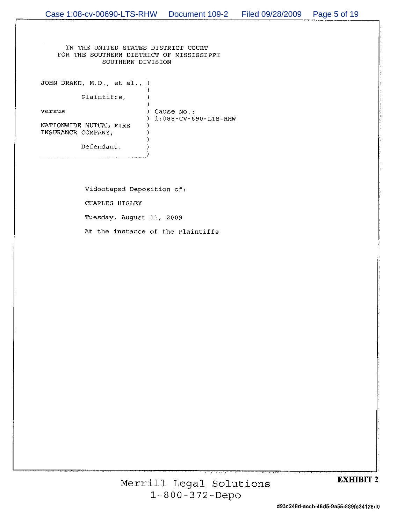IN THE UNITED STATES DISTRICT COURT FOR THE SOUTHERN DISTRICT OF MISSISSIPPI SOUTHERN DIVISION

JOHN DRAKE, M.D., et al., )

Plaintiffs,

versus

) Cause No.:  $1:088-CV-690-LTS-RHW$ 

NATIONWIDE MUTUAL FIRE INSURANCE COMPANY,

Defendant.

Videotaped Deposition of: CHARLES HIGLEY Tuesday, August 11, 2009 At the instance of the Plaintiffs

## **EXHIBIT 2**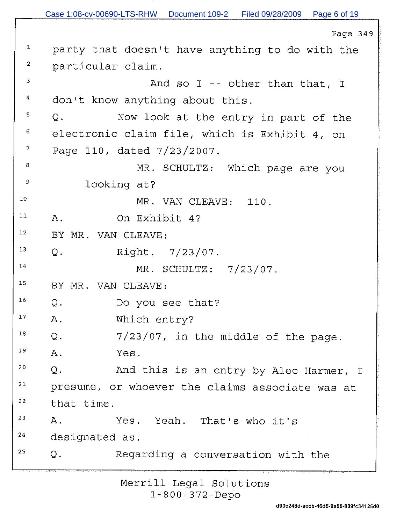Case 1:08-cv-00690-LTS-RHW Document 109-2 Filed 09/28/2009 Page 6 of 19

Page 349

 $\,1\,$ party that doesn't have anything to do with the 2 particular claim.  $\mathbf{3}$ And so I -- other than that, I  $\bf{4}$ don't know anything about this. 5 Now look at the entry in part of the  $\circ$ . 6 electronic claim file, which is Exhibit 4, on 7 Page 110, dated 7/23/2007. 8 MR. SCHULTZ: Which page are you 9 looking at?  $10$ MR. VAN CLEAVE: 110.  $11$ On Exhibit 4?  $A$ .  $12$ BY MR. VAN CLEAVE:  $13$ Q.  $Right. 7/23/07.$  $14$ MR. SCHULTZ: 7/23/07. 15 BY MR. VAN CLEAVE:  $16$  $Q$ . Do you see that?  $17$ Which entry?  $A$ . 18 7/23/07, in the middle of the page.  $\circ$ . 19  $A$ . Yes.  $20$ And this is an entry by Alec Harmer, I  $Q$ . 21 presume, or whoever the claims associate was at 22 that time. 23 Yeah. That's who it's Α. Yes.  $24$ designated as. 25 Regarding a conversation with the Q.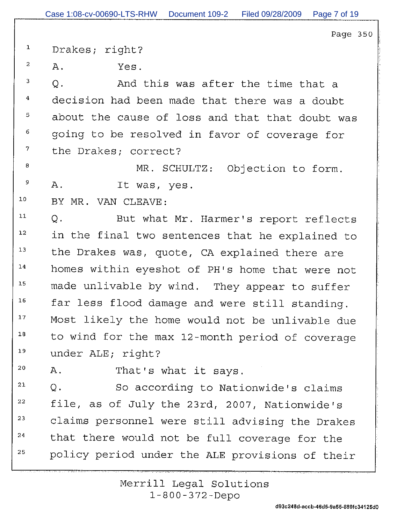$\mathbf{1}$ Drakes; right?

2  $A$ . Yes.

 $\overline{3}$ And this was after the time that a  $\circ$ . 4 decision had been made that there was a doubt about the cause of loss and that that doubt was 5 6 going to be resolved in favor of coverage for 7 the Drakes; correct?

MR. SCHULTZ: Objection to form. 8 9  $A.$ It was, yes.

 $10$ BY MR. VAN CLEAVE:

 $11$ But what Mr. Harmer's report reflects Q.  $12$ in the final two sentences that he explained to  $13$ the Drakes was, quote, CA explained there are  $14$ homes within eyeshot of PH's home that were not  $15$ made unlivable by wind. They appear to suffer  $16$ far less flood damage and were still standing.  $17$ Most likely the home would not be unlivable due  $18$ to wind for the max 12-month period of coverage 19 under ALE; right?

 $20$ That's what it says. Α.

21 So according to Nationwide's claims  $O<sub>1</sub>$ 22 file, as of July the 23rd, 2007, Nationwide's 23 claims personnel were still advising the Drakes that there would not be full coverage for the 24 25 policy period under the ALE provisions of their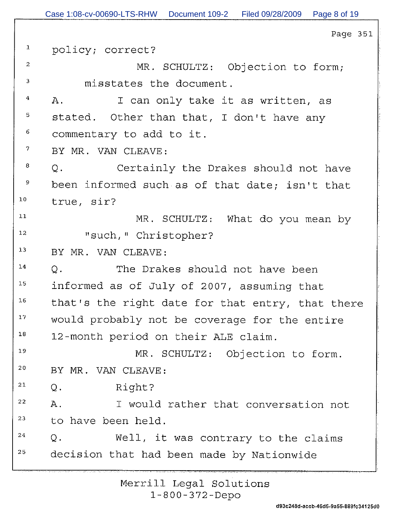|                         | rayo bo                                          |
|-------------------------|--------------------------------------------------|
| $\mathbf{1}$            | policy; correct?                                 |
| $\overline{\mathbf{c}}$ | MR. SCHULTZ: Objection to form;                  |
| 3                       | misstates the document.                          |
| 4                       | I can only take it as written, as<br>$A$ .       |
| 5                       | stated. Other than that, I don't have any        |
| 6                       | commentary to add to it.                         |
| $\mathcal{I}$           | BY MR. VAN CLEAVE:                               |
| 8                       | Certainly the Drakes should not have<br>Q.       |
| 9                       | been informed such as of that date; isn't that   |
| 10                      | true, sir?                                       |
| 11                      | MR. SCHULTZ: What do you mean by                 |
| 12                      | "such, " Christopher?                            |
| 13                      | BY MR. VAN CLEAVE:                               |
| 14                      | Q.<br>The Drakes should not have been            |
| 15                      | informed as of July of 2007, assuming that       |
| 16                      | that's the right date for that entry, that there |
| 17                      | would probably not be coverage for the entire    |
| 18                      | 12-month period on their ALE claim.              |
| 19                      | MR. SCHULTZ: Objection to form.                  |
| 20                      | BY MR. VAN CLEAVE:                               |
| 21                      | Right?<br>$Q$ .                                  |
| 22                      | Α.<br>I would rather that conversation not       |
| 23                      | to have been held.                               |
| 24                      | Well, it was contrary to the claims<br>$Q$ .     |
| 25                      | decision that had been made by Nationwide        |
|                         |                                                  |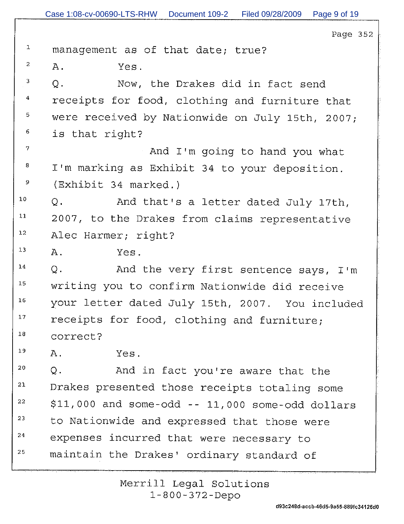| $\mathbf 1$             | management as of that date; true?                   |
|-------------------------|-----------------------------------------------------|
| $\overline{a}$          | Α.<br>Yes.                                          |
| $\overline{3}$          | Now, the Drakes did in fact send<br>$Q$ .           |
| $\overline{\mathbf{4}}$ | receipts for food, clothing and furniture that      |
| 5                       | were received by Nationwide on July 15th, 2007;     |
| 6                       | is that right?                                      |
| $7\overline{ }$         | And I'm going to hand you what                      |
| 8                       | I'm marking as Exhibit 34 to your deposition.       |
| 9                       | (Exhibit 34 marked.)                                |
| $10\,$                  | And that's a letter dated July 17th,<br>Q.          |
| 11                      | 2007, to the Drakes from claims representative      |
| $12\,$                  | Alec Harmer; right?                                 |
| $13$                    | Α.<br>Yes.                                          |
| 14                      | $Q$ .<br>And the very first sentence says, I'm      |
| 15                      | writing you to confirm Nationwide did receive       |
| 16                      | your letter dated July 15th, 2007. You included     |
| $1\,7$                  | receipts for food, clothing and furniture;          |
| 18                      | correct?                                            |
| 19                      | Α.<br>Yes.                                          |
| 20                      | Q.<br>And in fact you're aware that the             |
| 21                      | Drakes presented those receipts totaling some       |
| 22                      | $$11,000$ and some-odd -- $11,000$ some-odd dollars |
| 23                      | to Nationwide and expressed that those were         |
| 24                      | expenses incurred that were necessary to            |
| 25                      | maintain the Drakes' ordinary standard of           |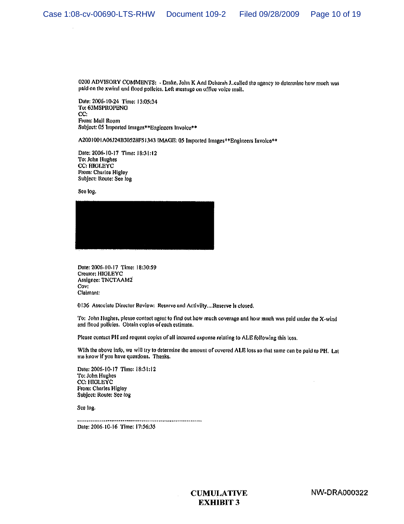0200 ADVISORY COMMENTS: - Drake, John K And Debarah J. called the agency to determine how much was paid on the xwind and flood policies. Left message on office voice mail.

Date: 2006-10-24 Time: 13:05:34 To: 63MSPROPENG CC: From: Mail Room Subject: 05 Imported Images\*\*Engineers Invoice\*\*

A2001001A06J24B30528F51343 IMAGE: 05 Imported Images\*\* Engineers Involce\*\*

Date: 2006-10-17 Time: 18:31:12 To: John Hughes CC: HIGLEYC From: Charles Higley Subject: Route: See log

See log.



Date: 2006-10-17 Time: 18:30:59 Creator: HIGLEYC Assignee: TNCTAAM2 Cov: Claimant:

0136 Associate Director Review: Reserve and Activilty....Reserve is closed.

To: John Hughes, please contact agent to find out how much coverage and how much was paid under the X-wind and flood policies. Obtain copies of each estimate.

Please contact PH and request copies of all incurred expense relating to ALE following this loss.

With the above info, we will try to determine the amount of covered ALE loss so that same can be paid to PH. Let me know if you have questions. Thanks.

Date: 2006-10-17 Time: 18:31:12 To: John Hughes CC: HIGLEYC From: Charles Higley Subject: Route: See log

See log.

Date: 2006-10-16 Time: 17:56:35

> **CUMULATIVE EXHIBIT 3**

**NW-DRA000322**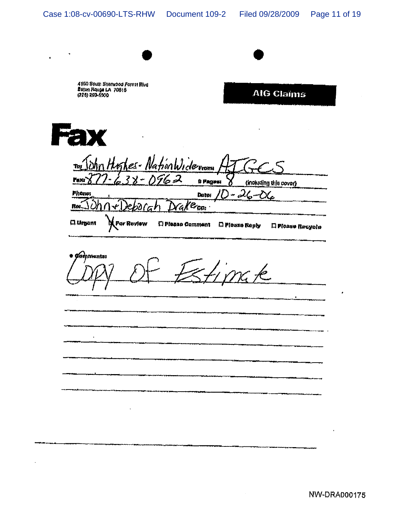$\bullet$ 

 $\ddot{\phantom{a}}$ 

| Beton Rouge LA 70816<br>(225) 293-5900 | 4150 Soum Sharwood Forest Blvd |                                |                | <b>AIG Claims</b>      |
|----------------------------------------|--------------------------------|--------------------------------|----------------|------------------------|
|                                        |                                |                                |                |                        |
|                                        |                                |                                |                |                        |
|                                        |                                | In John Highes- NationWiderman |                |                        |
| Faxx                                   | $238 - 0962$                   |                                | # Pagest       | (including this cover) |
| <b>Phone:</b>                          |                                | Dator                          | $1D - 26 - 06$ |                        |
|                                        | 2ebo(ah)                       | Drake <sub>cc</sub> .          |                |                        |
| <b>C.</b> Urgent                       | <b>For Roview</b>              | <b>C</b> Please Comment        | n Please Reply | El Please Recycle      |
|                                        |                                |                                |                |                        |
| pistentas<br>ron                       |                                |                                |                |                        |
|                                        |                                |                                |                |                        |
|                                        |                                |                                |                |                        |
|                                        |                                |                                |                |                        |
|                                        |                                |                                |                |                        |
|                                        |                                |                                |                |                        |
|                                        |                                |                                |                |                        |
|                                        |                                |                                |                |                        |
|                                        |                                |                                |                |                        |
|                                        |                                |                                |                |                        |

 $\sim$ 

 $\bullet$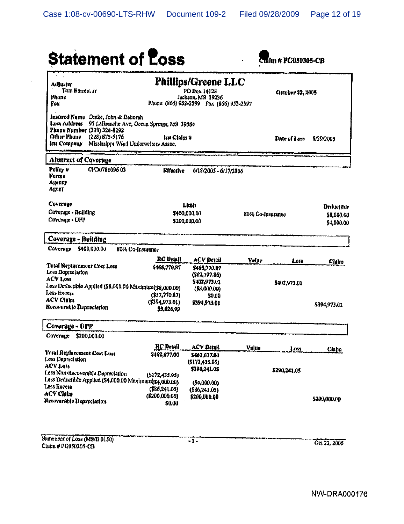| <b>Statement of Loss</b>                                                                                                                                                   |                                                          |                                                              |                  | talm # PG050305-CB |              |
|----------------------------------------------------------------------------------------------------------------------------------------------------------------------------|----------------------------------------------------------|--------------------------------------------------------------|------------------|--------------------|--------------|
| Adjuster                                                                                                                                                                   |                                                          | <b>Phillips/Greene LLC</b>                                   |                  |                    |              |
| Tom Barren, Jr.                                                                                                                                                            |                                                          | PO Box 14128                                                 |                  | October 22, 2005   |              |
| Phone<br>fox                                                                                                                                                               |                                                          | Jackson, MS 39236<br>Phone (866) 952-2599 Pax (866) 952-2597 |                  |                    |              |
| Insured Name Drake, John & Deborah<br>Loss Address<br>Phone Number (228) 324-8292<br>Other Phone<br>$(228) 875 - 5176$<br>Ins Company Mississipps Wind Underwriters Assoc. | 95 LaBranche Ave, Ocean Springs, MS 39564<br>Ins Claim # |                                                              |                  | Date of Lame       | 8/29/2005    |
| Abstract of Coverage                                                                                                                                                       |                                                          |                                                              |                  |                    |              |
| CPD078109603<br>Policy $\mu$<br>Forma<br>Акспеу<br>Agent                                                                                                                   | <b>Effective</b>                                         | 6/18/2005 - 6/17/2006                                        |                  |                    |              |
| Coverage                                                                                                                                                                   |                                                          | Limit                                                        |                  |                    | Deductible   |
| Coverage - Building                                                                                                                                                        |                                                          | \$400,000.00                                                 | 80% Co-Insurance |                    | \$8,000.00   |
| Coverage - UPP                                                                                                                                                             |                                                          | \$200,000.00                                                 |                  |                    | \$4,000.00   |
| Coverage - Building                                                                                                                                                        |                                                          |                                                              |                  |                    |              |
| \$400,000.00<br>Coverage                                                                                                                                                   | 80% Co-Insurance                                         |                                                              |                  |                    |              |
|                                                                                                                                                                            | <b>RC</b> Detail                                         | <b>ACV Detail</b>                                            | Vulue            | Loss               | Chim         |
| Total Replacement Cost Loss<br>Loss Depreciation                                                                                                                           | \$465,770.87                                             | \$455,770.87                                                 |                  |                    |              |
| <b>ACV Loss</b>                                                                                                                                                            |                                                          | (\$62,797,86)                                                |                  |                    |              |
| Less Deductible Applied (\$8,000.01) Maximum(\$8,000.00)                                                                                                                   |                                                          | \$402,973.01                                                 |                  | \$402,973.01       |              |
| Less Excess                                                                                                                                                                | $($ \$57,770.87)                                         | (S8, 000.00)<br>50.00                                        |                  |                    |              |
| <b>ACV Claim</b>                                                                                                                                                           | $(*394,973.01)$                                          | \$394,973.01                                                 |                  |                    |              |
| Recoverable Depreciation                                                                                                                                                   | \$5,026.99                                               |                                                              |                  |                    | \$394,973.01 |
| Coverage - UPP                                                                                                                                                             |                                                          |                                                              |                  |                    |              |
| \$200,000,00<br>Coverage                                                                                                                                                   |                                                          |                                                              |                  |                    |              |
|                                                                                                                                                                            | <b>RC</b> Detail                                         | ACV Detail                                                   | Value            | Luss               | Claim        |
| Total Replacement Cost Loss<br>Less Depreciation                                                                                                                           | \$462,677.00                                             | \$462,677.00                                                 |                  |                    |              |
| <b>ACV Loss</b>                                                                                                                                                            |                                                          | (S172, 435.95)                                               |                  |                    |              |
| Less Non-Recoverable Depreciation                                                                                                                                          | (\$172,435.95)                                           | \$290.241.05                                                 |                  | \$290,241.05       |              |
| Less Deductible Applied (\$4,000.00 Maximum) \$4,000.00)                                                                                                                   |                                                          | (\$4,000.00)                                                 |                  |                    |              |
| Less Excess                                                                                                                                                                | (\$86,241.05)                                            | (\$86,241.05)                                                |                  |                    |              |
| <b>ACV Claim</b><br>Renoverable Depreciation                                                                                                                               | (\$200,000,00)                                           | \$200,000.00                                                 |                  |                    | \$200,000.00 |
|                                                                                                                                                                            |                                                          |                                                              |                  |                    |              |

 $\hat{\boldsymbol{\beta}}$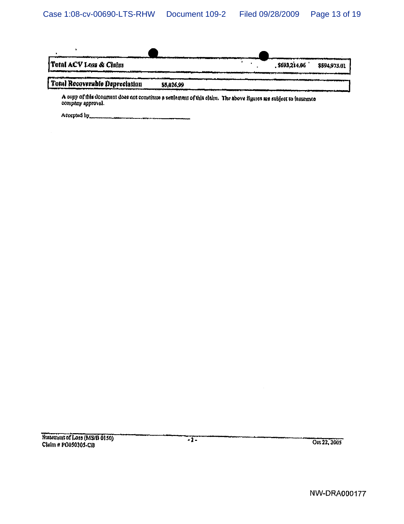| Total ACV Loss & Claim                                                                                                                                     |           | \$693,214.06 | \$594,973.01 |
|------------------------------------------------------------------------------------------------------------------------------------------------------------|-----------|--------------|--------------|
| <b>PAAN ANTIQUE SERVICE DE LA BIJVANIE DE LA BIJVANIE DE LA BIJVANIE DE LA BIJVANIE DE LA BIJVANIE DE LA BIJVANIE</b><br>  Total Recoversible Depreciation | 55.026.99 |              |              |
|                                                                                                                                                            |           |              |              |

A copy of this document does not constitute a settlement of this claim. The above figures are subject to insurance<br>company approval.

Accepted by the community of the contract of the contract of the contract of the contract of the contract of the contract of the contract of the contract of the contract of the contract of the contract of the contract of t

 $\sim$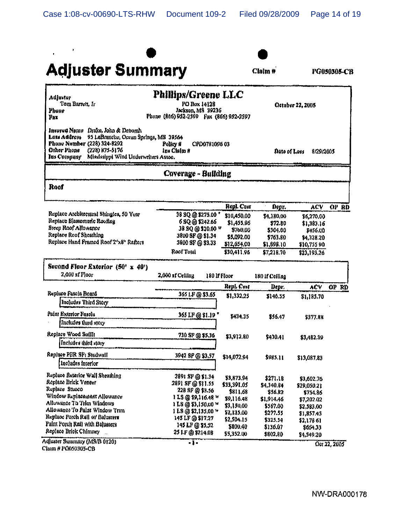

 $Cla(m)$ #

PG050305-CB

| <b>Adjustur</b><br>Tom Barrett, Ir<br>Phone<br>Fax                                                                                                                                                                    | <b>Phillips/Greene LLC</b><br>PO Box 14128<br>Jackson, MS 39236<br>Phone (866) 952-2599 Fax (866) 952-2597 |              |                 | October 22, 2005 |              |
|-----------------------------------------------------------------------------------------------------------------------------------------------------------------------------------------------------------------------|------------------------------------------------------------------------------------------------------------|--------------|-----------------|------------------|--------------|
| Insured Name<br>Drake, John & Deborah<br>Loss Address<br>95 LaBranche, Ocean Springs, MS 39564<br>Phone Number (228) 324-8292<br>Other Phone<br>(728) 875-5176<br>Ins Company<br>Mississippi Wind Underwriters Assoc. | Policy #<br>CPD0781096 03<br>Ins Claim #                                                                   |              | Date of Loss    | 8/29/2005        |              |
|                                                                                                                                                                                                                       | Coverage - Building                                                                                        |              |                 |                  |              |
| Roof                                                                                                                                                                                                                  |                                                                                                            |              |                 |                  |              |
|                                                                                                                                                                                                                       |                                                                                                            | Repl. Cost   | Depr.           | ACV              | OP RD        |
| Replace Architeculral Shingles, 50 Year                                                                                                                                                                               | 38 SQ @ \$275.00 *                                                                                         | \$10,450,00  | \$4,180,00      | \$6,270.00       |              |
| Replace Blastomeric Routing                                                                                                                                                                                           | 6 SQ @ \$242.66                                                                                            | \$1,455,96   | \$72.80         | \$1,383.}6       |              |
| Steep Roof Allowance                                                                                                                                                                                                  | 38 SQ @ \$20.00 W                                                                                          | \$760.00     | \$304.00        | 5456.UO          |              |
| Replace Roof Sheathing                                                                                                                                                                                                | 3800 SF @ \$1.34                                                                                           | \$5,092.00   | \$763.80        | \$4,328.20       |              |
| Replace Hand Framed Roof 2"x8" Rafters                                                                                                                                                                                | 3800 SF @ \$3.33                                                                                           | \$12,654,00  | \$1,898.10      | \$10,755 90      |              |
|                                                                                                                                                                                                                       | Roof Total                                                                                                 | \$30,411.96  | \$7,218.70      | \$23,193.26      |              |
| Second Floor Exterior (50' x 40')<br>2,000 sf Floor                                                                                                                                                                   | 2,000 af Ceiting                                                                                           | 180 lf Floor | 180 If Ceiling  |                  |              |
|                                                                                                                                                                                                                       |                                                                                                            | Repl. Cost   | Depr.           | AÇ V             | OP RD        |
| Replace Fascia Board                                                                                                                                                                                                  | 365 LF @ \$3.65                                                                                            | \$1,332,25   | \$146.55        | \$1,185.70       |              |
| Inolades Third Story                                                                                                                                                                                                  |                                                                                                            |              |                 |                  |              |
| Paint Exterior Fascia                                                                                                                                                                                                 | 365 LF @ \$1.19 '                                                                                          | \$434.35     | \$56.47         | \$377.88         |              |
| Includes that story                                                                                                                                                                                                   |                                                                                                            |              |                 |                  |              |
| Replace Wood Soffit                                                                                                                                                                                                   | 730 SF @ \$5.36                                                                                            |              |                 |                  |              |
| Includes third story                                                                                                                                                                                                  |                                                                                                            | \$3,912,80   | <b>\$430.41</b> | \$3,482.39       |              |
| Replace PBR SF: Studwall                                                                                                                                                                                              | 3942 SF @ \$3.57                                                                                           | \$14,072,94  | \$985.11        |                  |              |
| Includes interior                                                                                                                                                                                                     |                                                                                                            |              |                 | \$13,087.83      |              |
| Replace Sxterior Wall Sheathing                                                                                                                                                                                       | 2891 SF @ \$1.34                                                                                           | \$3,873.94   | \$271.18        | \$3,602.76       |              |
| Replace Brick Veneer                                                                                                                                                                                                  | 2891 SF@ \$11.55                                                                                           | \$33,391.05  | \$4,340.84      | \$29,050.21      |              |
| Replace Stucco                                                                                                                                                                                                        | 228 SF @ \$3.56                                                                                            | \$811,68     | \$56.82         | \$754.86         |              |
| Window Replacement Allowance                                                                                                                                                                                          | 1 LS @ \$9,116.48 W                                                                                        | \$9,116.48   | \$1,914.46      | \$7,202.02       |              |
| Allowance To Trim Windows                                                                                                                                                                                             | i LS @ \$3,150.00 *                                                                                        | \$3,150.00   | \$567.00        | \$2,583,00       |              |
| Allowance To Palat Window Trim                                                                                                                                                                                        |                                                                                                            | \$2,135.00   | \$277.55        | \$1,857.45       |              |
| Replace Porch Rail w/ Balusters                                                                                                                                                                                       | 145 LF @ \$17.27                                                                                           | \$2,504.15   | \$325.54        | \$2,178.61       |              |
| Paint Porch Rail with Balusters                                                                                                                                                                                       | 145 LF @ \$5.52                                                                                            | \$800.40     | \$136.07        | \$664,33         |              |
| Replace Brick Chimney                                                                                                                                                                                                 | 25 LF @ \$214.08                                                                                           | \$5,352.00   | \$802.80        | \$4,549.20       |              |
| Adjuster Summary (MS/B 0120)                                                                                                                                                                                          | -1.                                                                                                        |              |                 |                  | Ост 22, 2005 |

Clmm # PG050305-CB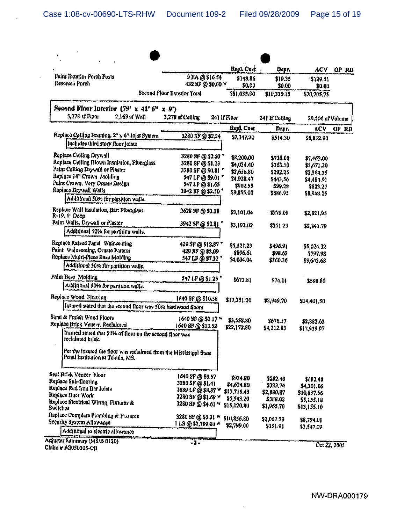|                                                                                                        |                                     | Repl. Cost             | Depr.                | ACV                       | OP RD |
|--------------------------------------------------------------------------------------------------------|-------------------------------------|------------------------|----------------------|---------------------------|-------|
| Paint Exterior Porch Posts<br>Resercen Porch                                                           | 9 BA @ \$16.54<br>432 SF @ \$0.00 W | \$148,86<br>\$0.00     | \$19.35<br>\$0.00    | 129.51<br>\$0.00          |       |
|                                                                                                        | Second Floor Exterior Total         | \$81,035.90            | \$10,330.15          | \$70,705,75               |       |
| Second Floor Interior $(79' \times 41' 6'' \times 9')$                                                 |                                     |                        |                      |                           |       |
| 3,278 st Floor<br>2,169 sf Wall                                                                        | 3,278 sf Ceiling                    | 241 If Floor           | 241 If Ceiling       | 29,506 of Volume          |       |
|                                                                                                        |                                     | Repl. Cost             | Depr.                | ACV                       | OP RD |
| Replace Ceiling Framing, 2" x 6" Joist System<br>includes third story floor joists                     | 3280 SF @ \$2.24                    | \$7,347,20             | \$514.30             | \$6,832.90                |       |
| Replace Ceiling Drywall                                                                                | 3280 SF @ \$2.50 *                  | \$8,200.00             | \$738.00             | \$7,462,00                |       |
| Replace Ceiling Blown Insulation, Fiberglass                                                           | 3280 SF @ \$1.23                    | \$4,034.40             | \$363.10             | \$3,671,30                |       |
| Paint Celling Drywall or Plaster                                                                       | 3280 SF @ \$0.81 *                  | \$2,630.80             | \$292.25             | \$2,364.55                |       |
| Replace 14" Crown Molding                                                                              | 547 LF @ \$9.01 *                   | 54,928.47              | \$443.56             | \$4,484,91                |       |
| Paint Crown, Very Omate Dasign                                                                         | 547 LF @ \$1.65                     | \$902.55               | \$99.28              | \$803,27                  |       |
| Replace Drywall Walls                                                                                  | 3942 SF @ \$2.50 *                  | \$9,855.00             | \$886.95             | \$8,968.05                |       |
| Additional 50% for partition walls.                                                                    |                                     |                        |                      |                           |       |
| Replace Wall Insulation, Batt Fiberglass<br>R-19, 6 <sup>o</sup> Deep                                  | 2628 SF @ \$1.18                    | \$3,101.04             | \$2.79.09            | \$2,821.95                |       |
| Paint Walls, Drywall or Plaster<br>Additional 50% for partition walls.                                 | 3942 SF @ \$0.81 *                  | \$3,193.02             | \$351 23             | \$2,841.79                |       |
| Replace Raised Panel Wainscoting                                                                       | 429 SF @ \$12.87                    | \$5,521.23             | \$496.91             |                           |       |
| Paint Wainscoting, Ornate Pattern                                                                      | 429 SF @ \$2.09                     | \$896.61               | \$98.63              | \$5,024.32<br>\$797.98    |       |
| Replace Multi-Piece Base Molding                                                                       | 547 LF @ \$7,32                     | \$4,004.04             | \$360.36             | \$3,643.68                |       |
| Additional 50% for partition walls.                                                                    |                                     |                        |                      |                           |       |
| Paint Base Molding                                                                                     | 547 LF @ \$1.23                     | \$672.81               | \$74.01              |                           |       |
| Additional 50% for partition walls.                                                                    |                                     |                        |                      | \$598.80                  |       |
| Replace Wood Flooring                                                                                  | 1640 SF @ \$10.58                   | \$17,351.20            | \$2,949.70           |                           |       |
| Insured stated that the second floor was 50% hardwood floors                                           |                                     |                        |                      | \$14,401.50               |       |
| Sand & Finish Wood Floors                                                                              | 1640 SF @ \$2.17 w                  | \$3,558.80             |                      |                           |       |
| Replace Brick Vencer, Reclaimed                                                                        | 1640 SF @ \$13,52                   | \$22,172.80            | \$676.17             | \$2,882.63                |       |
| Insured stated that 50% of floor on the second floor was<br>reclaimed brick.                           |                                     |                        | \$4,212.83           | \$17,959.07               |       |
| Per the insured the floor was reclaimed from the Mississippi State<br>Penal Institution at Tchula, MS. |                                     |                        |                      |                           |       |
| Seal Brick Vencer Floor                                                                                | 1640 SF @ \$0.57                    |                        |                      |                           |       |
| Replace Sub-flooring                                                                                   | 3280 SF @ \$1.41                    | \$934.80<br>\$4,624.80 | \$252.40<br>\$323.74 | \$682.40                  |       |
| Replace Red fron Bar Joista                                                                            | 1639 LF @ \$8.37 W                  | \$13,718.43            | \$2,880.87           | \$4,301.06<br>\$10,837.56 |       |
| Replace Duct Work                                                                                      | 3280 SF @ \$1.69 *                  | \$5,543,20             | \$388.02             | \$5,155.18                |       |
| Replace Electrical Winng, Fixtures &<br><b>Switcher</b>                                                | 3280 SF @ \$4.61 W                  | \$15,120,80            | \$1,965,70           | \$13,155.10               |       |
| Replace Complete Plumbing & Fratures                                                                   |                                     |                        |                      |                           |       |
| Security System Allowance                                                                              | 3280 SF @ \$3.31 W                  | \$10,856.80            | \$2,062.79           | \$8,794.01                |       |
| Additional to electric allowance                                                                       | 1 LS @ \$2,799.00 *                 | \$2,799.00             | \$231.91             | \$2,547.09                |       |
| Adjuster Summary (MS/B 0120)                                                                           |                                     |                        |                      |                           |       |
| Claim # PG050305-CB                                                                                    | -2.                                 |                        |                      | Oct 22, 2005              |       |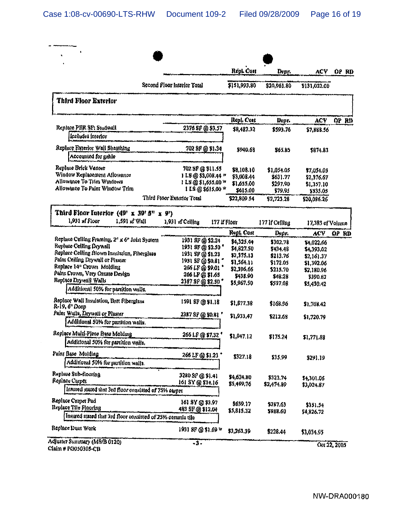|                                                                                                                                                                                                                |                                         | Repl. Cost             | Depr.               | ACY                    | OP RD |
|----------------------------------------------------------------------------------------------------------------------------------------------------------------------------------------------------------------|-----------------------------------------|------------------------|---------------------|------------------------|-------|
|                                                                                                                                                                                                                | Second Floor Interior Total             | \$151,993.80           | \$20,961.80         | \$131,032.00           |       |
| Third Floor Exterior                                                                                                                                                                                           |                                         |                        |                     |                        |       |
|                                                                                                                                                                                                                |                                         | Repl. Cost             | Depr.               | ACV                    | OP RD |
| Replace PER SF: Studwall<br>Includes interior                                                                                                                                                                  | 2376 SF @ \$3.57                        | \$8,482.32             | \$593,76            | \$7,888.56             |       |
|                                                                                                                                                                                                                |                                         |                        |                     |                        |       |
| Replace Exterior Wall Sheathing<br>Accounted for gable                                                                                                                                                         | 702 SF @ \$1.34                         | \$940.68               | \$65.85             | \$874.83               |       |
| Replace Brick Veneer                                                                                                                                                                                           | 702 SF @ \$11.55                        | \$8,108.10             | \$1,054.05          | \$7,054.05             |       |
| Window Replacement Allowance                                                                                                                                                                                   | 1 LS @ \$3,008.44 W                     | \$3,008.44             | \$631.77            | \$2,376.67             |       |
| Allowance To Trim Windows                                                                                                                                                                                      | 1 LS @ \$1,655.00 W                     | \$1,655,00             | \$297.90            | \$1,357.10             |       |
| Allowance To Paint Window Trim                                                                                                                                                                                 | 1 LS @ \$615.00 *                       | \$615.00               | \$79.95             | \$535.05               |       |
|                                                                                                                                                                                                                | Third Floor Exterior Total              | \$22,809.54            | \$2,723.28          | \$20,086.26            |       |
| Third Floor Interior $(49' \times 39' 5'' \times 9')$<br>1,931 af Floor                                                                                                                                        |                                         |                        |                     |                        |       |
| 1,591 sf Wall                                                                                                                                                                                                  | 1,931 of Ceiling<br>177 if Floor        |                        | 177 lf Ceiling      | 17,383 of Volume       |       |
|                                                                                                                                                                                                                |                                         | Ropt, Cast             | Depr.               | ACV.                   | OP RD |
| Replace Celling Framing, 2" x 6" Joist System<br>Repluce Ceiling Drywall                                                                                                                                       | 1931 SF @ \$2.24                        | \$4,325.44             | \$302.78            | \$4,022,66             |       |
| Replace Celling Blown Insulation, Fiberglass                                                                                                                                                                   | 1931 SF @ \$2.50 *                      | \$4,827.50             | \$434.48            | \$4,393.02             |       |
| Paint Ceiling Drywall or Plaster                                                                                                                                                                               | 1931 SF @ \$1.23                        | \$2,375,13             | \$213.76            | \$2,161.37             |       |
| Replace 14" Crown Molding                                                                                                                                                                                      | 1931 SF @ \$0.81 *<br>266 LF @ \$9.01 * | \$1,564.11             | \$172.05            | \$1,392.06             |       |
| Palnt Crown, Very Omate Design                                                                                                                                                                                 | 266 LF @ \$1.65                         | \$2,396.66             | \$215.70            | 52,180.96              |       |
| Replace Drywall Walls                                                                                                                                                                                          | 2387 SF @ \$2.50 *                      | \$438.90               | \$48.28             | \$390.62               |       |
| Additional 50% for partition walls.                                                                                                                                                                            |                                         | \$5,967.50             | \$537.08            | \$5,430.42             |       |
| Replace Wall Insulation, Batt Fiberglass<br>R-19, 6" Doep                                                                                                                                                      | 1591 SF @ \$1.18                        | \$1,877.38             | \$168.96            | \$1,708.42             |       |
| Paint Walls, Drywall or Plaster                                                                                                                                                                                | 2387 SF @ \$0.81                        |                        |                     |                        |       |
| Additional 50% for partition walls.                                                                                                                                                                            |                                         | \$1,933.47             | \$212.68            | \$1,720.79             |       |
|                                                                                                                                                                                                                |                                         | \$1,947.12             | \$175.24            | \$1,771.88             |       |
|                                                                                                                                                                                                                | 266 LP @ \$7,32                         |                        |                     |                        |       |
| Additional 50% for partition walls.                                                                                                                                                                            |                                         |                        |                     |                        |       |
|                                                                                                                                                                                                                |                                         |                        |                     |                        |       |
| Additional 50% for partition walls.                                                                                                                                                                            | 266 LF @ \$1.23                         | \$327.18               | \$35.99             | \$291.19               |       |
|                                                                                                                                                                                                                |                                         |                        |                     |                        |       |
|                                                                                                                                                                                                                | 3280 SP @ \$1.41                        | \$4,624.80             | \$323.74            | \$4,301.06             |       |
| Insured stated that 3rd floor consisted of 75% carpet                                                                                                                                                          | 161 SY @ \$34.16                        | \$5,499.76             | \$2,474.89          | \$3,024.87             |       |
|                                                                                                                                                                                                                | 161 SY @ \$3.97                         |                        |                     |                        |       |
|                                                                                                                                                                                                                | 483 SF @ \$12.04                        | \$639.17<br>\$5,815.32 | \$287.63<br>5988.60 | \$351.54<br>\$4,826.72 |       |
| Replace Multi-Plece Base Molding<br>Paint Base Molding<br>Replace Sub-flooring<br>Replace Carpet<br>Replace Carpet Pad<br>Replace Tile Plooding<br>Insured stated that 3rd floor consisted of 25% ceramic tile |                                         |                        |                     |                        |       |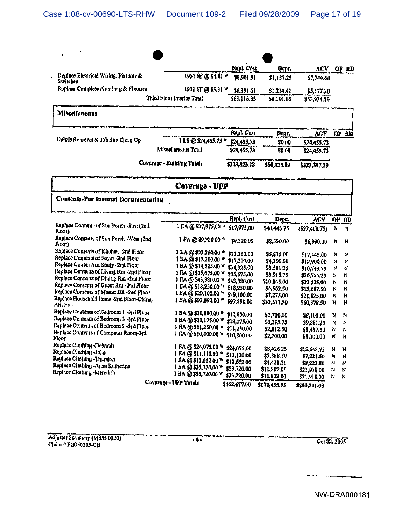|                                                    |                            | Répl. Cost   | Depr.       | ACY           |       | OP RD     |
|----------------------------------------------------|----------------------------|--------------|-------------|---------------|-------|-----------|
| Replace Bleemeal Wiring, Fixtures &<br>Switches    | 1931 SF @ \$4.61 W         | \$8,901.91   | \$1,157.25  | \$7,744.66    |       |           |
| Replace Complete Plumbing & Fixtures               | 1931 SF @ \$3.31 W         | \$6,391.61   | \$1,214.41  | \$5,177.20    |       |           |
|                                                    | Third Floor Interior Tutal | \$63,116.35  | \$9,191.96  | \$53,924.39   |       |           |
| Miscellaneous                                      |                            |              |             |               |       |           |
|                                                    |                            | Repl. Cost   | Depr.       | <b>ACV</b>    | OP RD |           |
| Debris Removal & Job Site Clean Up                 | 1 LS @ \$24,455.73 W       | \$24,455,73  | \$0.00      | \$24,455.73   |       |           |
|                                                    | Miscellaneous Total        | \$24,455,73  | \$0.00      | \$24,455,73   |       |           |
|                                                    | Coverage - Building Totals | \$373,923,28 | \$50,425.89 | \$323,397.39  |       |           |
|                                                    | Coverage - UPP             |              |             |               |       |           |
| Contents-Per Insured Documentation                 |                            |              |             |               |       |           |
|                                                    |                            | Repl. Cost   | Depr.       | ACV           | ÓР    | <b>RD</b> |
| Replace Contents of Sun Porch -Bast (2nd<br>Flour) | 1 EA @ \$17,975.00 #       | \$17,975,00  | \$40,443.75 | (S22, 468.75) | N     | N         |
| Replace Coments of Sun Porch -West (2nd<br>Floori  | 1 BA @ \$9,320.00 *        | \$9,320.00   | \$2,330.00  | \$6,990.00    | N     | N         |
| Replace Contents of Kitchen-2nd Floor              | 1 EA @ \$23,260.00 *       | \$23,260,00  | \$5,815.00  | \$17,445.00   | N     | N         |
| Replace Coments of Foyer -2nd Floor                | 1 EA@\$17,200.00 W         | \$17,200.00  | \$4,300.00  | \$12,900.00   | N     | N         |
| Replace Contents of Study -2nd Floor               | 1 EA @ \$14,325.00 W       | \$14,325.00  | \$3,581.25  | \$10,743.75   | N     | N         |
| Replace Contents of Living Rm -2nd Ploor           | 1 EA @ \$35,675.00 W       | \$35,675.00  | \$8,918.75  | \$26.756.25   | N     | N         |
| Replace Contents of Dining Rm -2nd Floor           | 1 EA @ \$43,380.00 W       | \$43.980.00  | \$10.845.00 | 629 424 Nn    | N     | N         |

|                                                 | Coverage - UPP Totals           | \$462,677.00 | \$172,435.95 | \$290,241.05 |   |     |
|-------------------------------------------------|---------------------------------|--------------|--------------|--------------|---|-----|
|                                                 |                                 | \$33,720.00  | \$11,802,00  | \$21,918.00  | N | N   |
| Replace Clothing -Meredith                      | 1 BA @ \$33,720,00 W            |              | \$11,802,00  | \$21,918.00  | N | N   |
| Replaca Clothing -Anna Katherine                | EA @ \$33,720.00 W              | \$33,720.00  |              | \$8,223.80   |   | N   |
| Replace Clorinng -Thurston                      | RA @ \$12,692.00 W              | \$12,652.00  | \$4,428.20   |              | N |     |
| Replace Clothing -John                          | ЕА @ \$11,110.00 *              | \$11,110.00  | \$3,888.50   | \$7,221.50   | N | N   |
| Replace Clothing -Debarah                       | l Ea @ \$24,075.00 <sup>w</sup> | \$24,075.00  | \$8,426.25   | \$15,648.75  | N | - N |
| Floor                                           |                                 | \$10,800 00  | \$2,700.00   | \$8.100.00   | N | -N  |
| Replace Contents of Computer Room-3rd           | i Ba @ \$10,800.00 w            |              | \$2,812.50   | \$8,437.50   | N | -N  |
| Replace Contents of Bedroom 2 -3rd Floor        | 1 BA @ \$11,250.00 W            | \$11.250.00  |              | \$9,881.25   | N | -N  |
| Replace Contents of Bedroom 3-3rd Floor         | 1 BA @ \$13,175.00 W            | \$13,175.00  | \$3,293.75   |              |   |     |
| Replace Contents of Bedroom 1 -3rd Floor        |                                 | \$10,800.00  | \$2,700.00   | \$8,100.00   | N | - N |
| An, Er.                                         |                                 |              | \$32,511.30  | \$60,978.50  | N | - N |
| Replace Household Items -2nd Floor-China,       | 1 EA @ \$92,890.00 *            | \$92,890.00  | \$7,275.00   | \$21,825.00  | N | N   |
| Replace Contents of Master BR-2nd Floor         | 1 EA@\$29,100.00 W              | \$29,100.00  |              |              |   |     |
| Replace Contents of Guest Rm -2nd Floor         |                                 | \$18,250.00  | \$4,562.50   | \$13,687.50  | N | N   |
| Replace Contents of Dining Rm -2nd Floor        | 1 EA @ \$43,380.00 m            | \$43,980.00  | \$10,845.00  | \$32,535.00  | N | N   |
| THE REAL PROPERTY OF STATISTICS AND LABOR FIRMS | י שוכוס כנו שו האזו             | \$35,675.00  | \$8,918.75   | \$26,756.25  | N | -N  |

 $\sim$ 

 $\bar{z}$ 

Oct 22, 2005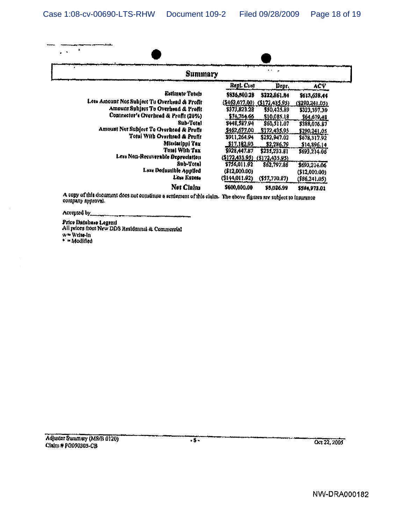Case 1:08-cv-00690-LTS-RHW Document 109-2 Filed 09/28/2009 Page 18 of 19

| <b>Summary</b>                               |                                |                  |                |
|----------------------------------------------|--------------------------------|------------------|----------------|
|                                              | Repl. Cost                     | Dept.            | ACY            |
| Estimate Totals                              | \$836,500.2B                   | 5222,861.84      | \$613,638,44   |
| Less Amount Not Subject To Overhead & Profit | (5462, 677, 00)                | (5172, 435.95)   | (\$290.241.05) |
| Amount Subject To Overhead & Profit          | \$373,823.28                   | \$50,425.89      | \$323,397,39   |
| Contractor's Creentead & Profit (20%)        | \$74,764.66                    | \$10,085.18      | \$64,679,48    |
| <b>Sub-Total</b>                             | \$448,587.94                   | \$60,511.07      | \$388,076.87   |
| Amount Not Subject To Overhead & Profit      | \$462,677,00                   | \$172,435.95     | \$290,241.05   |
| Total With Overhead & Profit                 | \$911,264.94                   | \$232,947.02     | \$678,317.92   |
| Mississippi Tax                              | <u>\$17,182,93</u>             | \$2,286.79       | \$14,896,14    |
| Total With Tax                               | \$928,447.87                   | \$231, 233.81    | \$693,214.06   |
| Less Non-Recoverable Depreciation            | $(212,435.95)$ $(5172,435.95)$ |                  |                |
| Sub-Total                                    | \$756,011.92                   | \$62,797.86      | \$693,214.06   |
| Less Deductible Applied                      | (\$12,000.00)                  |                  | (\$12,000.00)  |
| Less Excess                                  | (\$144,011.92)                 | $($ \$57,770.87) | ( \$86.241.05) |
| Net Claim                                    | \$600,000.00                   | \$5,026.99       | \$594,973.01   |

Accepted by.

 $\bar{\gamma}$ 

Price Database Legend<br>All prices from New DDS Residennul & Commercial<br>w = Write-in<br>• = Modified

Oct 22, 2005